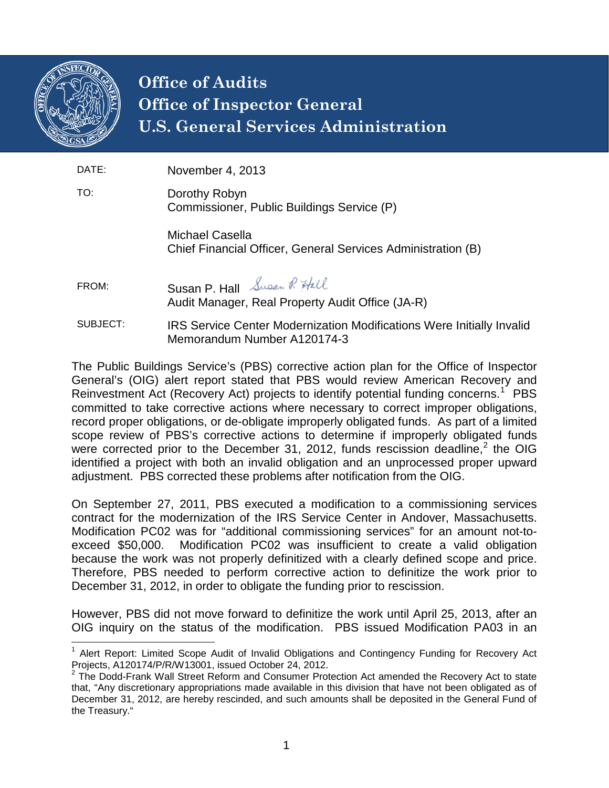

## **Office of Audits Office of Inspector General U.S. General Services Administration**

| DATE:    | November 4, 2013                                                                                            |
|----------|-------------------------------------------------------------------------------------------------------------|
| TO:      | Dorothy Robyn<br>Commissioner, Public Buildings Service (P)                                                 |
|          | Michael Casella<br>Chief Financial Officer, General Services Administration (B)                             |
| FROM:    | Susan P. Hall Super P. Hall<br>Audit Manager, Real Property Audit Office (JA-R)                             |
| SUBJECT: | <b>IRS Service Center Modernization Modifications Were Initially Invalid</b><br>Memorandum Number A120174-3 |

The Public Buildings Service's (PBS) corrective action plan for the Office of Inspector General's (OIG) alert report stated that PBS would review American Recovery and Reinvestment Act (Recovery Act) projects to identify potential funding concerns.<sup>[1](#page-0-0)</sup> PBS committed to take corrective actions where necessary to correct improper obligations, record proper obligations, or de-obligate improperly obligated funds. As part of a limited scope review of PBS's corrective actions to determine if improperly obligated funds were corrected prior to the December 31, [2](#page-0-1)012, funds rescission deadline,<sup>2</sup> the OIG identified a project with both an invalid obligation and an unprocessed proper upward adjustment. PBS corrected these problems after notification from the OIG.

On September 27, 2011, PBS executed a modification to a commissioning services contract for the modernization of the IRS Service Center in Andover, Massachusetts. Modification PC02 was for "additional commissioning services" for an amount not-toexceed \$50,000. Modification PC02 was insufficient to create a valid obligation because the work was not properly definitized with a clearly defined scope and price. Therefore, PBS needed to perform corrective action to definitize the work prior to December 31, 2012, in order to obligate the funding prior to rescission.

However, PBS did not move forward to definitize the work until April 25, 2013, after an OIG inquiry on the status of the modification. PBS issued Modification PA03 in an

<span id="page-0-0"></span><sup>&</sup>lt;sup>1</sup> Alert Report: Limited Scope Audit of Invalid Obligations and Contingency Funding for Recovery Act Projects, A120174/P/R/W13001, issued October 24, 2012.<br><sup>2</sup> The Dodd-Frank Wall Street Reform and Consumer Protection Act amended the Recovery Act to state

<span id="page-0-1"></span>that, "Any discretionary appropriations made available in this division that have not been obligated as of December 31, 2012, are hereby rescinded, and such amounts shall be deposited in the General Fund of the Treasury."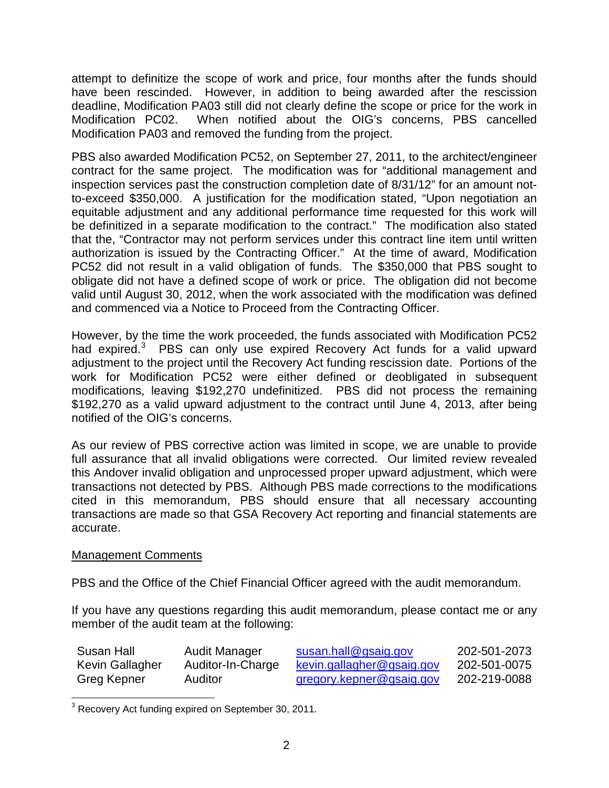attempt to definitize the scope of work and price, four months after the funds should have been rescinded. However, in addition to being awarded after the rescission deadline, Modification PA03 still did not clearly define the scope or price for the work in Modification PC02. When notified about the OIG's concerns, PBS cancelled Modification PA03 and removed the funding from the project.

PBS also awarded Modification PC52, on September 27, 2011, to the architect/engineer contract for the same project. The modification was for "additional management and inspection services past the construction completion date of 8/31/12" for an amount notto-exceed \$350,000. A justification for the modification stated, "Upon negotiation an equitable adjustment and any additional performance time requested for this work will be definitized in a separate modification to the contract." The modification also stated that the, "Contractor may not perform services under this contract line item until written authorization is issued by the Contracting Officer." At the time of award, Modification PC52 did not result in a valid obligation of funds. The \$350,000 that PBS sought to obligate did not have a defined scope of work or price. The obligation did not become valid until August 30, 2012, when the work associated with the modification was defined and commenced via a Notice to Proceed from the Contracting Officer.

However, by the time the work proceeded, the funds associated with Modification PC52 had expired.<sup>[3](#page-1-0)</sup> PBS can only use expired Recovery Act funds for a valid upward adjustment to the project until the Recovery Act funding rescission date. Portions of the work for Modification PC52 were either defined or deobligated in subsequent modifications, leaving \$192,270 undefinitized. PBS did not process the remaining \$192,270 as a valid upward adjustment to the contract until June 4, 2013, after being notified of the OIG's concerns.

As our review of PBS corrective action was limited in scope, we are unable to provide full assurance that all invalid obligations were corrected. Our limited review revealed this Andover invalid obligation and unprocessed proper upward adjustment, which were transactions not detected by PBS. Although PBS made corrections to the modifications cited in this memorandum, PBS should ensure that all necessary accounting transactions are made so that GSA Recovery Act reporting and financial statements are accurate.

## Management Comments

PBS and the Office of the Chief Financial Officer agreed with the audit memorandum.

If you have any questions regarding this audit memorandum, please contact me or any member of the audit team at the following:

| Susan Hall      | Audit Manager     | susan.hall@gsaig.gov      | 202-501-2073 |
|-----------------|-------------------|---------------------------|--------------|
| Kevin Gallagher | Auditor-In-Charge | kevin.gallagher@gsaig.gov | 202-501-0075 |
| Greg Kepner     | Auditor           | gregory.kepner@gsaig.gov  | 202-219-0088 |

<span id="page-1-0"></span><sup>&</sup>lt;sup>3</sup> Recovery Act funding expired on September 30, 2011.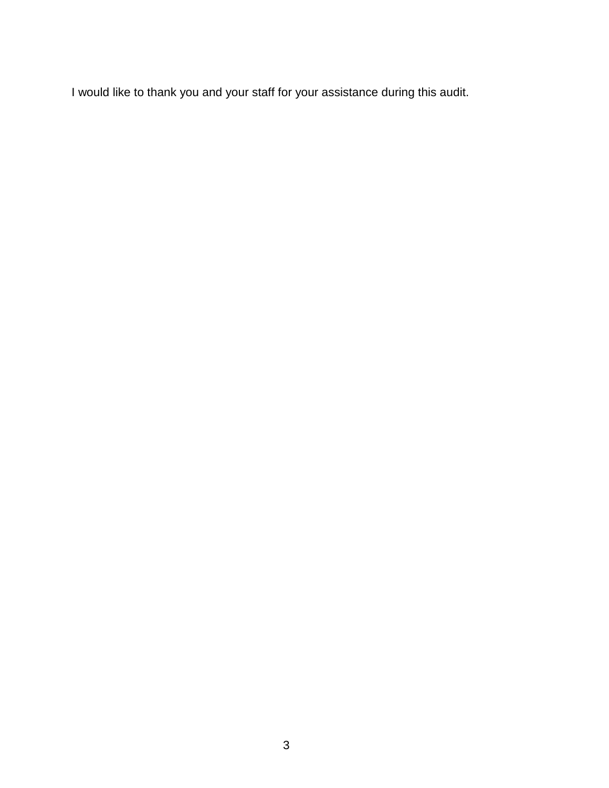I would like to thank you and your staff for your assistance during this audit.